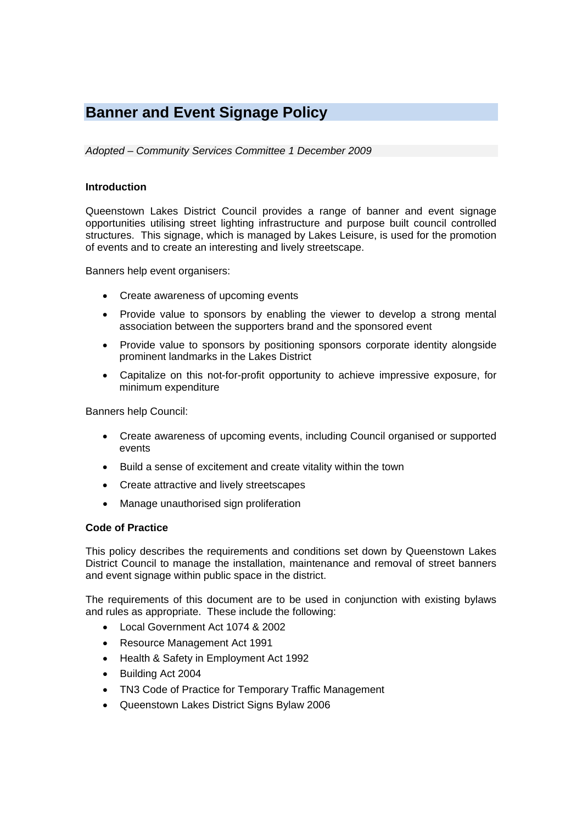# **Banner and Event Signage Policy**

*Adopted – Community Services Committee 1 December 2009* 

#### **Introduction**

Queenstown Lakes District Council provides a range of banner and event signage opportunities utilising street lighting infrastructure and purpose built council controlled structures. This signage, which is managed by Lakes Leisure, is used for the promotion of events and to create an interesting and lively streetscape.

Banners help event organisers:

- Create awareness of upcoming events
- Provide value to sponsors by enabling the viewer to develop a strong mental association between the supporters brand and the sponsored event
- Provide value to sponsors by positioning sponsors corporate identity alongside prominent landmarks in the Lakes District
- Capitalize on this not-for-profit opportunity to achieve impressive exposure, for minimum expenditure

Banners help Council:

- Create awareness of upcoming events, including Council organised or supported events
- Build a sense of excitement and create vitality within the town
- Create attractive and lively streetscapes
- Manage unauthorised sign proliferation

#### **Code of Practice**

This policy describes the requirements and conditions set down by Queenstown Lakes District Council to manage the installation, maintenance and removal of street banners and event signage within public space in the district.

The requirements of this document are to be used in conjunction with existing bylaws and rules as appropriate. These include the following:

- Local Government Act 1074 & 2002
- Resource Management Act 1991
- Health & Safety in Employment Act 1992
- Building Act 2004
- TN3 Code of Practice for Temporary Traffic Management
- Queenstown Lakes District Signs Bylaw 2006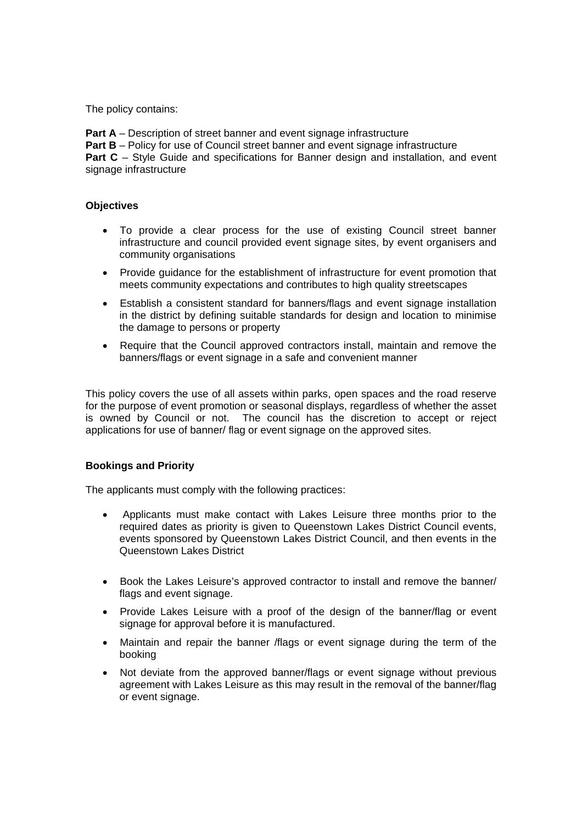The policy contains:

**Part A** – Description of street banner and event signage infrastructure **Part B** – Policy for use of Council street banner and event signage infrastructure **Part C** – Style Guide and specifications for Banner design and installation, and event signage infrastructure

# **Objectives**

- To provide a clear process for the use of existing Council street banner infrastructure and council provided event signage sites, by event organisers and community organisations
- Provide guidance for the establishment of infrastructure for event promotion that meets community expectations and contributes to high quality streetscapes
- Establish a consistent standard for banners/flags and event signage installation in the district by defining suitable standards for design and location to minimise the damage to persons or property
- Require that the Council approved contractors install, maintain and remove the banners/flags or event signage in a safe and convenient manner

This policy covers the use of all assets within parks, open spaces and the road reserve for the purpose of event promotion or seasonal displays, regardless of whether the asset is owned by Council or not. The council has the discretion to accept or reject applications for use of banner/ flag or event signage on the approved sites.

# **Bookings and Priority**

The applicants must comply with the following practices:

- Applicants must make contact with Lakes Leisure three months prior to the required dates as priority is given to Queenstown Lakes District Council events, events sponsored by Queenstown Lakes District Council, and then events in the Queenstown Lakes District
- Book the Lakes Leisure's approved contractor to install and remove the banner/ flags and event signage.
- Provide Lakes Leisure with a proof of the design of the banner/flag or event signage for approval before it is manufactured.
- Maintain and repair the banner /flags or event signage during the term of the booking
- Not deviate from the approved banner/flags or event signage without previous agreement with Lakes Leisure as this may result in the removal of the banner/flag or event signage.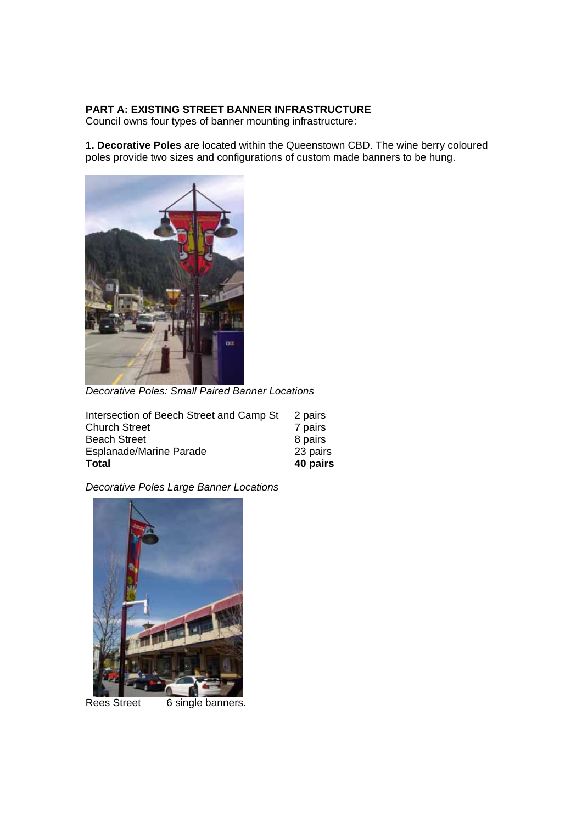# **PART A: EXISTING STREET BANNER INFRASTRUCTURE**

Council owns four types of banner mounting infrastructure:

**1. Decorative Poles** are located within the Queenstown CBD. The wine berry coloured poles provide two sizes and configurations of custom made banners to be hung.



*Decorative Poles: Small Paired Banner Locations* 

| Intersection of Beech Street and Camp St | 2 pairs  |
|------------------------------------------|----------|
| <b>Church Street</b>                     | 7 pairs  |
| <b>Beach Street</b>                      | 8 pairs  |
| <b>Esplanade/Marine Parade</b>           | 23 pairs |
| <b>Total</b>                             | 40 pairs |

*Decorative Poles Large Banner Locations* 



Rees Street 6 single banners.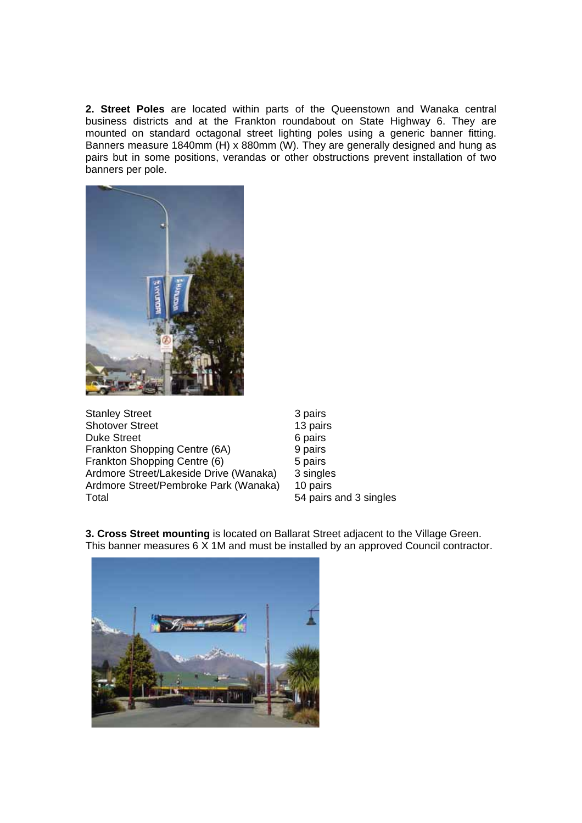**2. Street Poles** are located within parts of the Queenstown and Wanaka central business districts and at the Frankton roundabout on State Highway 6. They are mounted on standard octagonal street lighting poles using a generic banner fitting. Banners measure 1840mm (H) x 880mm (W). They are generally designed and hung as pairs but in some positions, verandas or other obstructions prevent installation of two banners per pole.



3 pairs 13 pairs 6 pairs 9 pairs 5 pairs 3 singles 10 pairs 54 pairs and 3 singles



**3. Cross Street mounting** is located on Ballarat Street adjacent to the Village Green. This banner measures 6 X 1M and must be installed by an approved Council contractor.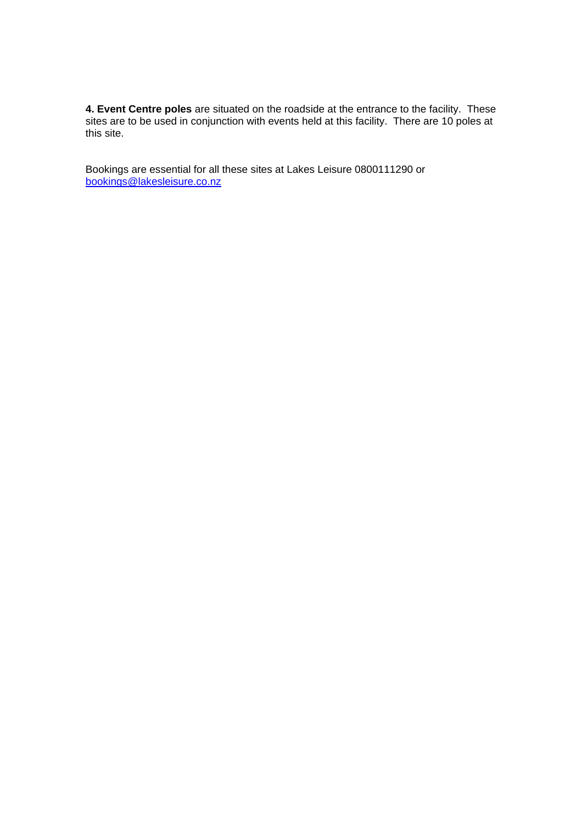**4. Event Centre poles** are situated on the roadside at the entrance to the facility. These sites are to be used in conjunction with events held at this facility. There are 10 poles at this site.

Bookings are essential for all these sites at Lakes Leisure 0800111290 or bookings@lakesleisure.co.nz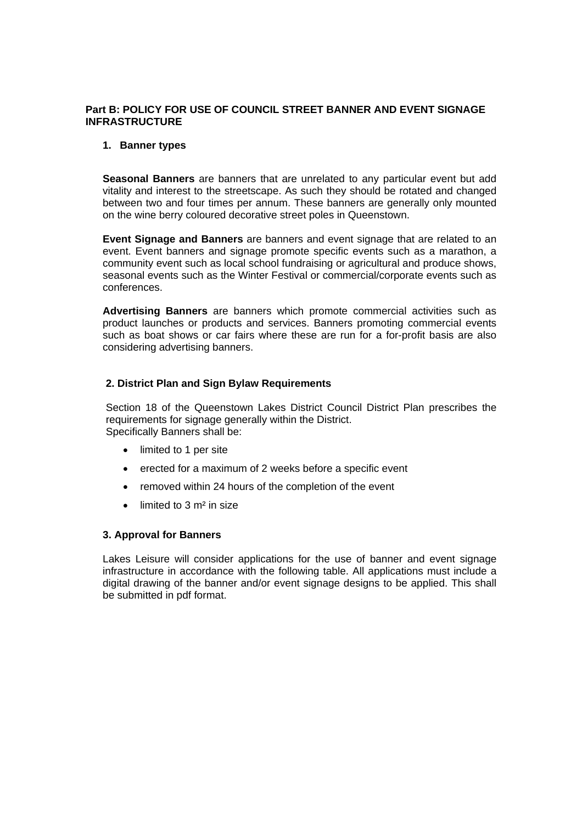# **Part B: POLICY FOR USE OF COUNCIL STREET BANNER AND EVENT SIGNAGE INFRASTRUCTURE**

#### **1. Banner types**

**Seasonal Banners** are banners that are unrelated to any particular event but add vitality and interest to the streetscape. As such they should be rotated and changed between two and four times per annum. These banners are generally only mounted on the wine berry coloured decorative street poles in Queenstown.

**Event Signage and Banners** are banners and event signage that are related to an event. Event banners and signage promote specific events such as a marathon, a community event such as local school fundraising or agricultural and produce shows, seasonal events such as the Winter Festival or commercial/corporate events such as conferences.

**Advertising Banners** are banners which promote commercial activities such as product launches or products and services. Banners promoting commercial events such as boat shows or car fairs where these are run for a for-profit basis are also considering advertising banners.

# **2. District Plan and Sign Bylaw Requirements**

Section 18 of the Queenstown Lakes District Council District Plan prescribes the requirements for signage generally within the District. Specifically Banners shall be:

- limited to 1 per site
- erected for a maximum of 2 weeks before a specific event
- removed within 24 hours of the completion of the event
- $\bullet$  limited to 3 m<sup>2</sup> in size

# **3. Approval for Banners**

Lakes Leisure will consider applications for the use of banner and event signage infrastructure in accordance with the following table. All applications must include a digital drawing of the banner and/or event signage designs to be applied. This shall be submitted in pdf format.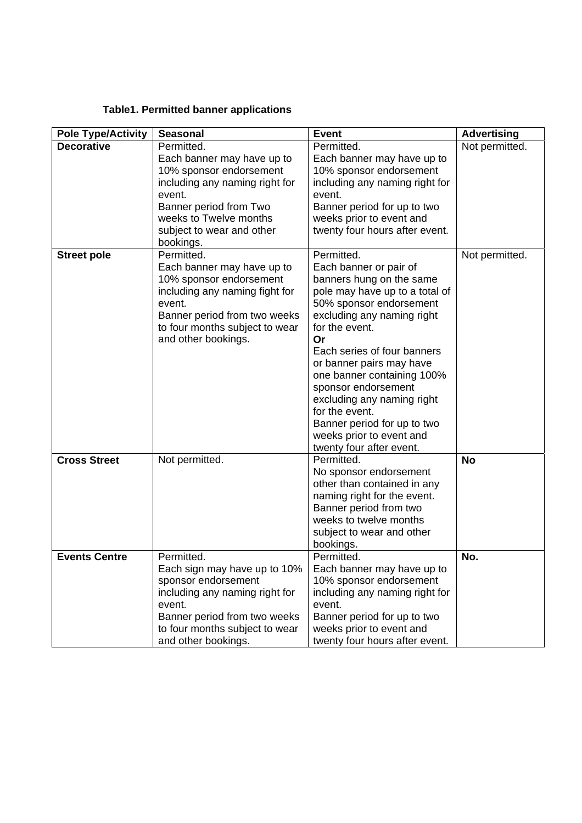# **Table1. Permitted banner applications**

| <b>Pole Type/Activity</b> | <b>Seasonal</b>                            | <b>Event</b>                                          | <b>Advertising</b> |
|---------------------------|--------------------------------------------|-------------------------------------------------------|--------------------|
| <b>Decorative</b>         | Permitted.                                 | Permitted.                                            | Not permitted.     |
|                           | Each banner may have up to                 | Each banner may have up to                            |                    |
|                           | 10% sponsor endorsement                    | 10% sponsor endorsement                               |                    |
|                           | including any naming right for             | including any naming right for                        |                    |
|                           | event.                                     | event.                                                |                    |
|                           | Banner period from Two                     | Banner period for up to two                           |                    |
|                           | weeks to Twelve months                     | weeks prior to event and                              |                    |
|                           | subject to wear and other                  | twenty four hours after event.                        |                    |
| <b>Street pole</b>        | bookings.<br>Permitted.                    | Permitted.                                            | Not permitted.     |
|                           | Each banner may have up to                 | Each banner or pair of                                |                    |
|                           | 10% sponsor endorsement                    | banners hung on the same                              |                    |
|                           | including any naming fight for             | pole may have up to a total of                        |                    |
|                           | event.                                     | 50% sponsor endorsement                               |                    |
|                           | Banner period from two weeks               | excluding any naming right                            |                    |
|                           | to four months subject to wear             | for the event.                                        |                    |
|                           | and other bookings.                        | Or                                                    |                    |
|                           |                                            | Each series of four banners                           |                    |
|                           |                                            | or banner pairs may have                              |                    |
|                           |                                            | one banner containing 100%                            |                    |
|                           |                                            | sponsor endorsement                                   |                    |
|                           |                                            | excluding any naming right<br>for the event.          |                    |
|                           |                                            | Banner period for up to two                           |                    |
|                           |                                            | weeks prior to event and                              |                    |
|                           |                                            | twenty four after event.                              |                    |
| <b>Cross Street</b>       | Not permitted.                             | Permitted.                                            | <b>No</b>          |
|                           |                                            | No sponsor endorsement                                |                    |
|                           |                                            | other than contained in any                           |                    |
|                           |                                            | naming right for the event.                           |                    |
|                           |                                            | Banner period from two                                |                    |
|                           |                                            | weeks to twelve months                                |                    |
|                           |                                            | subject to wear and other                             |                    |
|                           |                                            | bookings.                                             |                    |
| <b>Events Centre</b>      | Permitted.<br>Each sign may have up to 10% | Permitted.                                            | No.                |
|                           | sponsor endorsement                        | Each banner may have up to<br>10% sponsor endorsement |                    |
|                           | including any naming right for             | including any naming right for                        |                    |
|                           | event.                                     | event.                                                |                    |
|                           | Banner period from two weeks               | Banner period for up to two                           |                    |
|                           | to four months subject to wear             | weeks prior to event and                              |                    |
|                           | and other bookings.                        | twenty four hours after event.                        |                    |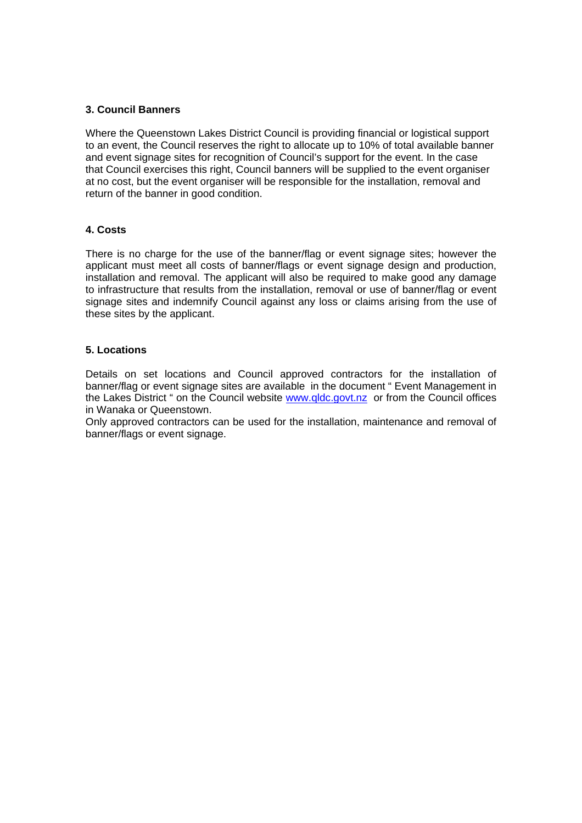# **3. Council Banners**

Where the Queenstown Lakes District Council is providing financial or logistical support to an event, the Council reserves the right to allocate up to 10% of total available banner and event signage sites for recognition of Council's support for the event. In the case that Council exercises this right, Council banners will be supplied to the event organiser at no cost, but the event organiser will be responsible for the installation, removal and return of the banner in good condition.

# **4. Costs**

There is no charge for the use of the banner/flag or event signage sites; however the applicant must meet all costs of banner/flags or event signage design and production, installation and removal. The applicant will also be required to make good any damage to infrastructure that results from the installation, removal or use of banner/flag or event signage sites and indemnify Council against any loss or claims arising from the use of these sites by the applicant.

# **5. Locations**

Details on set locations and Council approved contractors for the installation of banner/flag or event signage sites are available in the document " Event Management in the Lakes District " on the Council website www.qldc.govt.nz or from the Council offices in Wanaka or Queenstown.

Only approved contractors can be used for the installation, maintenance and removal of banner/flags or event signage.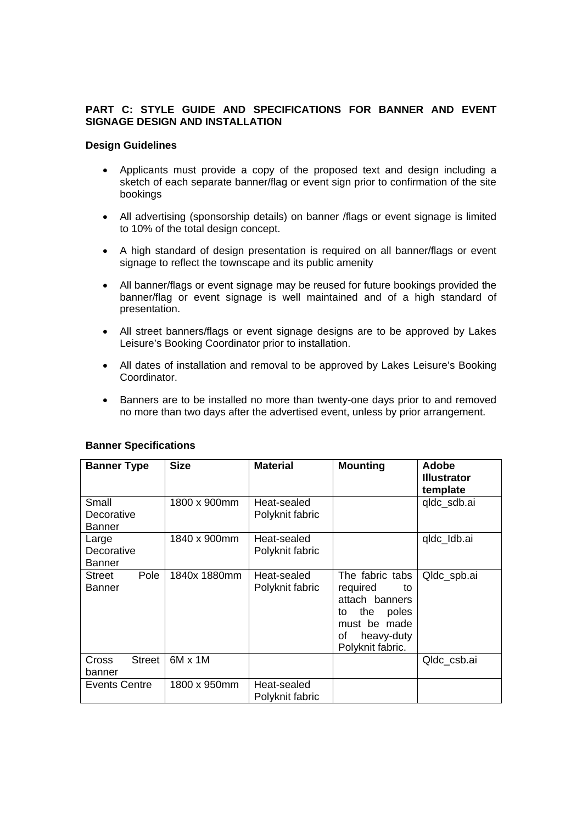# **PART C: STYLE GUIDE AND SPECIFICATIONS FOR BANNER AND EVENT SIGNAGE DESIGN AND INSTALLATION**

#### **Design Guidelines**

- Applicants must provide a copy of the proposed text and design including a sketch of each separate banner/flag or event sign prior to confirmation of the site bookings
- All advertising (sponsorship details) on banner /flags or event signage is limited to 10% of the total design concept.
- A high standard of design presentation is required on all banner/flags or event signage to reflect the townscape and its public amenity
- All banner/flags or event signage may be reused for future bookings provided the banner/flag or event signage is well maintained and of a high standard of presentation.
- All street banners/flags or event signage designs are to be approved by Lakes Leisure's Booking Coordinator prior to installation.
- All dates of installation and removal to be approved by Lakes Leisure's Booking Coordinator.
- Banners are to be installed no more than twenty-one days prior to and removed no more than two days after the advertised event, unless by prior arrangement.

| <b>Banner Type</b>                   | <b>Size</b>    | <b>Material</b>                | <b>Mounting</b>                                                                                                                   | <b>Adobe</b><br><b>Illustrator</b><br>template |
|--------------------------------------|----------------|--------------------------------|-----------------------------------------------------------------------------------------------------------------------------------|------------------------------------------------|
| Small<br>Decorative<br>Banner        | 1800 x 900mm   | Heat-sealed<br>Polyknit fabric |                                                                                                                                   | qldc_sdb.ai                                    |
| Large<br>Decorative<br><b>Banner</b> | 1840 x 900mm   | Heat-sealed<br>Polyknit fabric |                                                                                                                                   | qldc_ldb.ai                                    |
| Pole<br>Street<br>Banner             | 1840x 1880mm   | Heat-sealed<br>Polyknit fabric | The fabric tabs<br>required<br>to<br>attach banners<br>the<br>poles<br>tο<br>must be made<br>heavy-duty<br>οf<br>Polyknit fabric. | Qldc_spb.ai                                    |
| <b>Street</b><br>Cross<br>banner     | $6M \times 1M$ |                                |                                                                                                                                   | Qldc_csb.ai                                    |
| Events Centre                        | 1800 x 950mm   | Heat-sealed<br>Polyknit fabric |                                                                                                                                   |                                                |

#### **Banner Specifications**